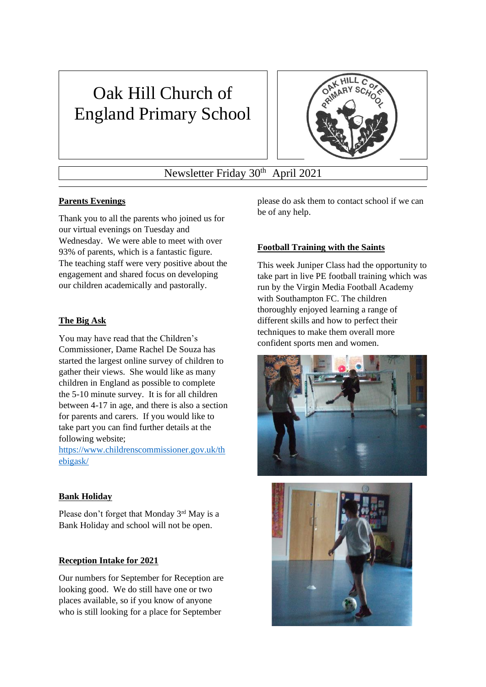# Oak Hill Church of England Primary School



# Newsletter Friday 30<sup>th</sup> April 2021

# **Parents Evenings**

Thank you to all the parents who joined us for our virtual evenings on Tuesday and Wednesday. We were able to meet with over 93% of parents, which is a fantastic figure. The teaching staff were very positive about the engagement and shared focus on developing our children academically and pastorally.

# **The Big Ask**

You may have read that the Children's Commissioner, Dame Rachel De Souza has started the largest online survey of children to gather their views. She would like as many children in England as possible to complete the 5-10 minute survey. It is for all children between 4-17 in age, and there is also a section for parents and carers. If you would like to take part you can find further details at the following website;

[https://www.childrenscommissioner.gov.uk/th](https://www.childrenscommissioner.gov.uk/thebigask/) [ebigask/](https://www.childrenscommissioner.gov.uk/thebigask/)

# **Bank Holiday**

Please don't forget that Monday 3rd May is a Bank Holiday and school will not be open.

# **Reception Intake for 2021**

Our numbers for September for Reception are looking good. We do still have one or two places available, so if you know of anyone who is still looking for a place for September

please do ask them to contact school if we can be of any help.

# **Football Training with the Saints**

This week Juniper Class had the opportunity to take part in live PE football training which was run by the Virgin Media Football Academy with Southampton FC. The children thoroughly enjoyed learning a range of different skills and how to perfect their techniques to make them overall more confident sports men and women.



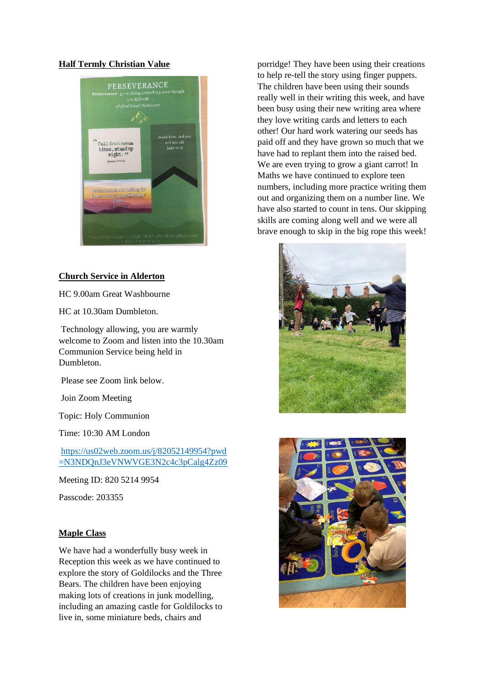#### **Half Termly Christian Value**



#### **Church Service in Alderton**

HC 9.00am Great Washbourne

HC at 10.30am Dumbleton.

Technology allowing, you are warmly welcome to Zoom and listen into the 10.30am Communion Service being held in Dumbleton.

Please see Zoom link below.

Join Zoom Meeting

Topic: Holy Communion

Time: 10:30 AM London

[https://us02web.zoom.us/j/82052149954?pwd](https://us02web.zoom.us/j/82052149954?pwd=N3NDQnJ3eVNWVGE3N2c4c3pCalg4Zz09) [=N3NDQnJ3eVNWVGE3N2c4c3pCalg4Zz09](https://us02web.zoom.us/j/82052149954?pwd=N3NDQnJ3eVNWVGE3N2c4c3pCalg4Zz09)

Meeting ID: 820 5214 9954

Passcode: 203355

#### **Maple Class**

We have had a wonderfully busy week in Reception this week as we have continued to explore the story of Goldilocks and the Three Bears. The children have been enjoying making lots of creations in junk modelling, including an amazing castle for Goldilocks to live in, some miniature beds, chairs and

porridge! They have been using their creations to help re-tell the story using finger puppets. The children have been using their sounds really well in their writing this week, and have been busy using their new writing area where they love writing cards and letters to each other! Our hard work watering our seeds has paid off and they have grown so much that we have had to replant them into the raised bed. We are even trying to grow a giant carrot! In Maths we have continued to explore teen numbers, including more practice writing them out and organizing them on a number line. We have also started to count in tens. Our skipping skills are coming along well and we were all brave enough to skip in the big rope this week!



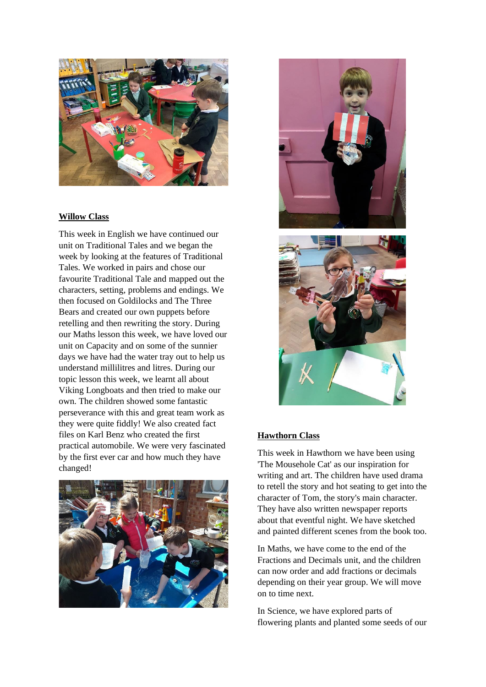

#### **Willow Class**

This week in English we have continued our unit on Traditional Tales and we began the week by looking at the features of Traditional Tales. We worked in pairs and chose our favourite Traditional Tale and mapped out the characters, setting, problems and endings. We then focused on Goldilocks and The Three Bears and created our own puppets before retelling and then rewriting the story. During our Maths lesson this week, we have loved our unit on Capacity and on some of the sunnier days we have had the water tray out to help us understand millilitres and litres. During our topic lesson this week, we learnt all about Viking Longboats and then tried to make our own. The children showed some fantastic perseverance with this and great team work as they were quite fiddly! We also created fact files on Karl Benz who created the first practical automobile. We were very fascinated by the first ever car and how much they have changed!





#### **Hawthorn Class**

This week in Hawthorn we have been using 'The Mousehole Cat' as our inspiration for writing and art. The children have used drama to retell the story and hot seating to get into the character of Tom, the story's main character. They have also written newspaper reports about that eventful night. We have sketched and painted different scenes from the book too.

In Maths, we have come to the end of the Fractions and Decimals unit, and the children can now order and add fractions or decimals depending on their year group. We will move on to time next.

In Science, we have explored parts of flowering plants and planted some seeds of our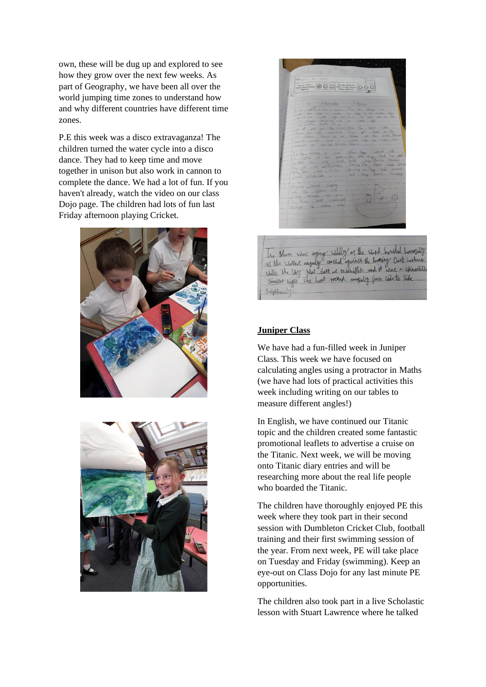own, these will be dug up and explored to see how they grow over the next few weeks. As part of Geography, we have been all over the world jumping time zones to understand how and why different countries have different time zones.

P.E this week was a disco extravaganza! The children turned the water cycle into a disco dance. They had to keep time and move together in unison but also work in cannon to complete the dance. We had a lot of fun. If you haven't already, watch the video on our class Dojo page. The children had lots of fun last Friday afternoon playing Cricket.





The storm whos beging wildly as the wind bowled boughty<br>as the wholes anguly anshot against the boning Dark barbure Signlesie

#### **Juniper Class**

We have had a fun-filled week in Juniper Class. This week we have focused on calculating angles using a protractor in Maths (we have had lots of practical activities this week including writing on our tables to measure different angles!)

In English, we have continued our Titanic topic and the children created some fantastic promotional leaflets to advertise a cruise on the Titanic. Next week, we will be moving onto Titanic diary entries and will be researching more about the real life people who boarded the Titanic.

The children have thoroughly enjoyed PE this week where they took part in their second session with Dumbleton Cricket Club, football training and their first swimming session of the year. From next week, PE will take place on Tuesday and Friday (swimming). Keep an eye-out on Class Dojo for any last minute PE opportunities.

The children also took part in a live Scholastic lesson with Stuart Lawrence where he talked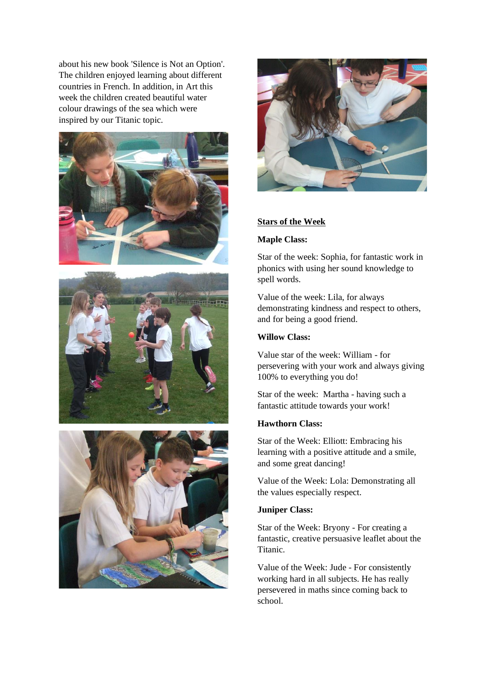about his new book 'Silence is Not an Option'. The children enjoyed learning about different countries in French. In addition, in Art this week the children created beautiful water colour drawings of the sea which were inspired by our Titanic topic.









#### **Stars of the Week**

#### **Maple Class:**

Star of the week: Sophia, for fantastic work in phonics with using her sound knowledge to spell words.

Value of the week: Lila, for always demonstrating kindness and respect to others, and for being a good friend.

#### **Willow Class:**

Value star of the week: William - for persevering with your work and always giving 100% to everything you do!

Star of the week: Martha - having such a fantastic attitude towards your work!

#### **Hawthorn Class:**

Star of the Week: Elliott: Embracing his learning with a positive attitude and a smile, and some great dancing!

Value of the Week: Lola: Demonstrating all the values especially respect.

#### **Juniper Class:**

Star of the Week: Bryony - For creating a fantastic, creative persuasive leaflet about the Titanic.

Value of the Week: Jude - For consistently working hard in all subjects. He has really persevered in maths since coming back to school.